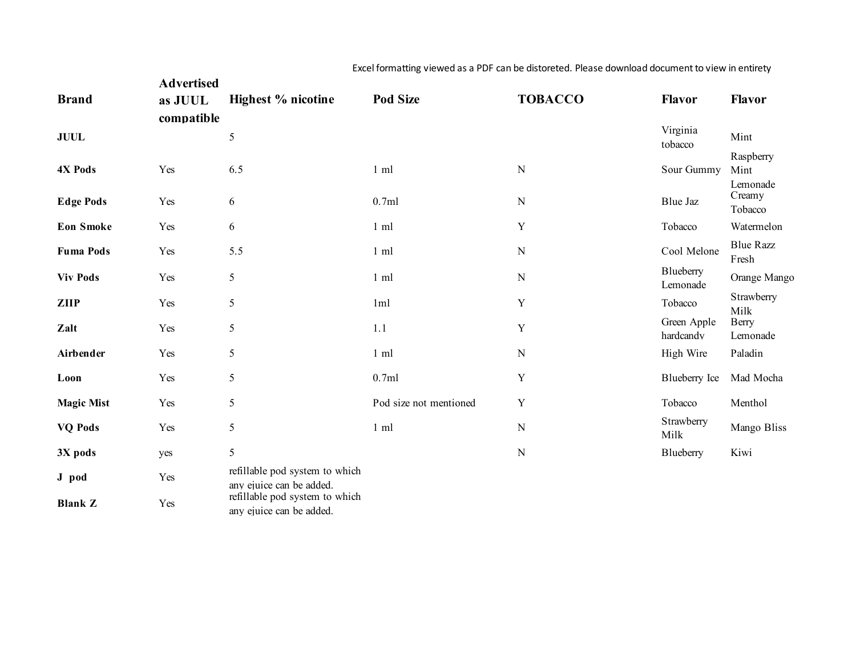| Excel formatting viewed as a PDF can be distoreted. Please download document to view in entirety |  |
|--------------------------------------------------------------------------------------------------|--|
|--------------------------------------------------------------------------------------------------|--|

| <b>Brand</b>      | <b>Advertised</b><br>as JUUL<br>compatible | Highest % nicotine                                         | <b>Pod Size</b>        | <b>TOBACCO</b> | <b>Flavor</b>            | <b>Flavor</b>                 |
|-------------------|--------------------------------------------|------------------------------------------------------------|------------------------|----------------|--------------------------|-------------------------------|
| <b>JUUL</b>       |                                            | 5                                                          |                        |                | Virginia<br>tobacco      | Mint                          |
| <b>4X Pods</b>    | Yes                                        | 6.5                                                        | $1 \text{ ml}$         | ${\bf N}$      | Sour Gummy               | Raspberry<br>Mint             |
| <b>Edge Pods</b>  | Yes                                        | 6                                                          | 0.7ml                  | ${\bf N}$      | Blue Jaz                 | Lemonade<br>Creamy<br>Tobacco |
| <b>Eon Smoke</b>  | Yes                                        | 6                                                          | $1$ ml                 | $\mathbf Y$    | Tobacco                  | Watermelon                    |
| <b>Fuma Pods</b>  | Yes                                        | 5.5                                                        | $1 \text{ ml}$         | ${\bf N}$      | Cool Melone              | <b>Blue Razz</b><br>Fresh     |
| <b>Viv Pods</b>   | Yes                                        | 5                                                          | $1 \text{ ml}$         | ${\bf N}$      | Blueberry<br>Lemonade    | Orange Mango                  |
| <b>ZIIP</b>       | Yes                                        | 5                                                          | 1ml                    | $\mathbf Y$    | Tobacco                  | Strawberry<br>Milk            |
| Zalt              | Yes                                        | 5                                                          | 1.1                    | $\mathbf Y$    | Green Apple<br>hardcandy | Berry<br>Lemonade             |
| Airbender         | Yes                                        | 5                                                          | $1$ ml                 | ${\bf N}$      | High Wire                | Paladin                       |
| Loon              | Yes                                        | 5                                                          | 0.7ml                  | $\mathbf Y$    | Blueberry Ice            | Mad Mocha                     |
| <b>Magic Mist</b> | Yes                                        | 5                                                          | Pod size not mentioned | Y              | Tobacco                  | Menthol                       |
| <b>VQ Pods</b>    | Yes                                        | 5                                                          | $1 \text{ ml}$         | ${\bf N}$      | Strawberry<br>Milk       | Mango Bliss                   |
| 3X pods           | yes                                        | 5                                                          |                        | ${\bf N}$      | Blueberry                | Kiwi                          |
| J pod             | Yes                                        | refillable pod system to which<br>any ejuice can be added. |                        |                |                          |                               |
| <b>Blank Z</b>    | Yes                                        | refillable pod system to which<br>any ejuice can be added. |                        |                |                          |                               |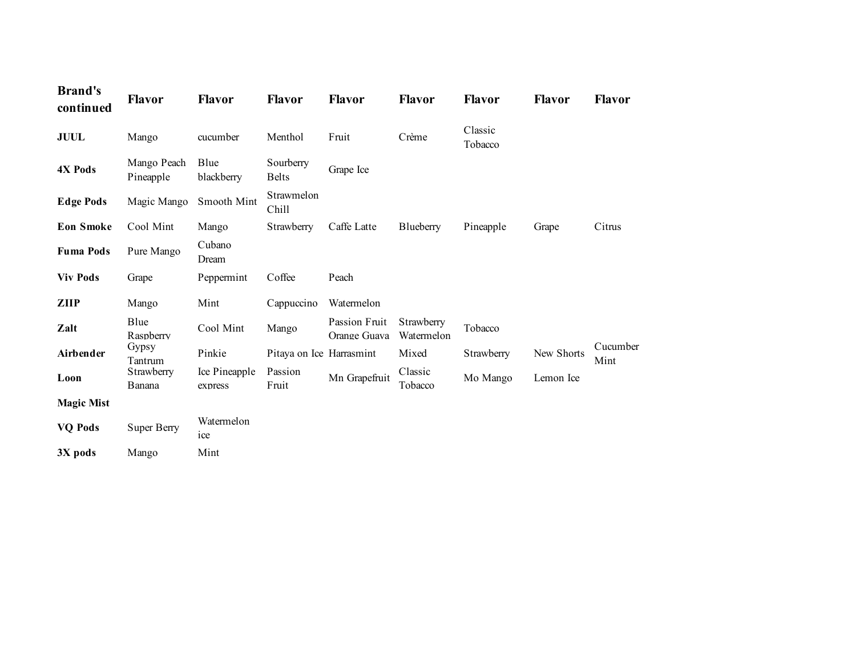| <b>Brand's</b><br>continued | <b>Flavor</b>            | <b>Flavor</b>            | <b>Flavor</b>             | <b>Flavor</b>                 | <b>Flavor</b>            | <b>Flavor</b>      | <b>Flavor</b> | <b>Flavor</b>    |
|-----------------------------|--------------------------|--------------------------|---------------------------|-------------------------------|--------------------------|--------------------|---------------|------------------|
| <b>JUUL</b>                 | Mango                    | cucumber                 | Menthol                   | Fruit                         | Crème                    | Classic<br>Tobacco |               |                  |
| <b>4X Pods</b>              | Mango Peach<br>Pineapple | Blue<br>blackberry       | Sourberry<br><b>Belts</b> | Grape Ice                     |                          |                    |               |                  |
| <b>Edge Pods</b>            | Magic Mango              | Smooth Mint              | Strawmelon<br>Chill       |                               |                          |                    |               |                  |
| <b>Eon Smoke</b>            | Cool Mint                | Mango                    | Strawberry                | Caffe Latte                   | Blueberry                | Pineapple          | Grape         | Citrus           |
| <b>Fuma Pods</b>            | Pure Mango               | Cubano<br>Dream          |                           |                               |                          |                    |               |                  |
| <b>Viv Pods</b>             | Grape                    | Peppermint               | Coffee                    | Peach                         |                          |                    |               |                  |
| <b>ZIIP</b>                 | Mango                    | Mint                     | Cappuccino                | Watermelon                    |                          |                    |               |                  |
| Zalt                        | Blue<br>Raspberry        | Cool Mint                | Mango                     | Passion Fruit<br>Orange Guava | Strawberry<br>Watermelon | Tobacco            |               |                  |
| Airbender                   | Gypsy<br>Tantrum         | Pinkie                   | Pitaya on Ice Harrasmint  |                               | Mixed                    | Strawberry         | New Shorts    | Cucumber<br>Mint |
| Loon                        | Strawberry<br>Banana     | Ice Pineapple<br>express | Passion<br>Fruit          | Mn Grapefruit                 | Classic<br>Tobacco       | Mo Mango           | Lemon Ice     |                  |
| <b>Magic Mist</b>           |                          |                          |                           |                               |                          |                    |               |                  |
| <b>VQ Pods</b>              | <b>Super Berry</b>       | Watermelon<br>ice        |                           |                               |                          |                    |               |                  |
| 3X pods                     | Mango                    | Mint                     |                           |                               |                          |                    |               |                  |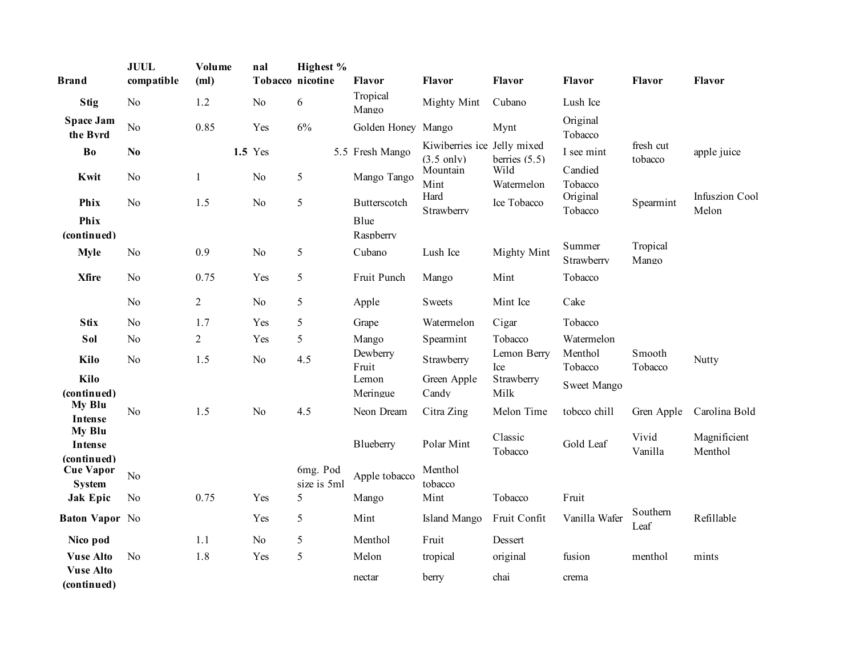| <b>Brand</b>                                     | <b>JUUL</b><br>compatible | <b>Volume</b><br>(ml) | nal<br>Tobacco nicotine | Highest %               | Flavor            | Flavor                                              | Flavor             | Flavor               | Flavor               | Flavor                         |
|--------------------------------------------------|---------------------------|-----------------------|-------------------------|-------------------------|-------------------|-----------------------------------------------------|--------------------|----------------------|----------------------|--------------------------------|
| <b>Stig</b>                                      | N <sub>0</sub>            | 1.2                   | No                      | 6                       | Tropical<br>Mango | <b>Mighty Mint</b>                                  | Cubano             | Lush Ice             |                      |                                |
| <b>Space Jam</b><br>the Byrd                     | N <sub>o</sub>            | 0.85                  | Yes                     | $6\%$                   | Golden Honey      | Mango                                               | Mynt               | Original<br>Tobacco  |                      |                                |
| Bo                                               | N <sub>0</sub>            |                       | 1.5 Yes                 |                         | 5.5 Fresh Mango   | Kiwiberries ice Jelly mixed<br>$(3.5 \text{ only})$ | berries $(5.5)$    | I see mint           | fresh cut<br>tobacco | apple juice                    |
| Kwit                                             | N <sub>0</sub>            | $\mathbf{1}$          | No                      | 5                       | Mango Tango       | Mountain<br>Mint                                    | Wild<br>Watermelon | Candied<br>Tobacco   |                      |                                |
| Phix                                             | N <sub>0</sub>            | 1.5                   | N <sub>0</sub>          | 5                       | Butterscotch      | Hard<br>Strawberry                                  | Ice Tobacco        | Original<br>Tobacco  | Spearmint            | <b>Infuszion Cool</b><br>Melon |
| Phix<br>(continued)                              |                           |                       |                         |                         | Blue<br>Raspberry |                                                     |                    |                      |                      |                                |
| <b>Myle</b>                                      | N <sub>0</sub>            | 0.9                   | No                      | 5                       | Cubano            | Lush Ice                                            | Mighty Mint        | Summer<br>Strawberry | Tropical<br>Mango    |                                |
| <b>Xfire</b>                                     | N <sub>o</sub>            | 0.75                  | Yes                     | 5                       | Fruit Punch       | Mango                                               | Mint               | Tobacco              |                      |                                |
|                                                  | N <sub>0</sub>            | $\overline{2}$        | No                      | 5                       | Apple             | Sweets                                              | Mint Ice           | Cake                 |                      |                                |
| <b>Stix</b>                                      | N <sub>o</sub>            | 1.7                   | Yes                     | 5                       | Grape             | Watermelon                                          | Cigar              | Tobacco              |                      |                                |
| Sol                                              | N <sub>0</sub>            | $\overline{2}$        | Yes                     | 5                       | Mango             | Spearmint                                           | Tobacco            | Watermelon           |                      |                                |
| Kilo                                             | N <sub>0</sub>            | 1.5                   | No                      | 4.5                     | Dewberry<br>Fruit | Strawberry                                          | Lemon Berry<br>Ice | Menthol<br>Tobacco   | Smooth<br>Tobacco    | Nutty                          |
| Kilo<br>(continued)                              |                           |                       |                         |                         | Lemon<br>Meringue | Green Apple<br>Candy                                | Strawberry<br>Milk | Sweet Mango          |                      |                                |
| My Blu<br><b>Intense</b>                         | N <sub>o</sub>            | 1.5                   | No                      | 4.5                     | Neon Dream        | Citra Zing                                          | Melon Time         | tobcco chill         | Gren Apple           | Carolina Bold                  |
| My Blu<br><b>Intense</b>                         |                           |                       |                         |                         | Blueberry         | Polar Mint                                          | Classic<br>Tobacco | Gold Leaf            | Vivid<br>Vanilla     | Magnificient<br>Menthol        |
| (continued)<br><b>Cue Vapor</b><br><b>System</b> | N <sub>o</sub>            |                       |                         | 6mg. Pod<br>size is 5ml | Apple tobacco     | Menthol<br>tobacco                                  |                    |                      |                      |                                |
| <b>Jak Epic</b>                                  | N <sub>0</sub>            | 0.75                  | Yes                     | 5                       | Mango             | Mint                                                | Tobacco            | Fruit                |                      |                                |
| <b>Baton Vapor</b> No                            |                           |                       | Yes                     | 5                       | Mint              | Island Mango                                        | Fruit Confit       | Vanilla Wafer        | Southern<br>Leaf     | Refillable                     |
| Nico pod                                         |                           | 1.1                   | No                      | 5                       | Menthol           | Fruit                                               | Dessert            |                      |                      |                                |
| <b>Vuse Alto</b>                                 | N <sub>0</sub>            | 1.8                   | Yes                     | 5                       | Melon             | tropical                                            | original           | fusion               | menthol              | mints                          |
| <b>Vuse Alto</b><br>(continued)                  |                           |                       |                         |                         | nectar            | berry                                               | chai               | crema                |                      |                                |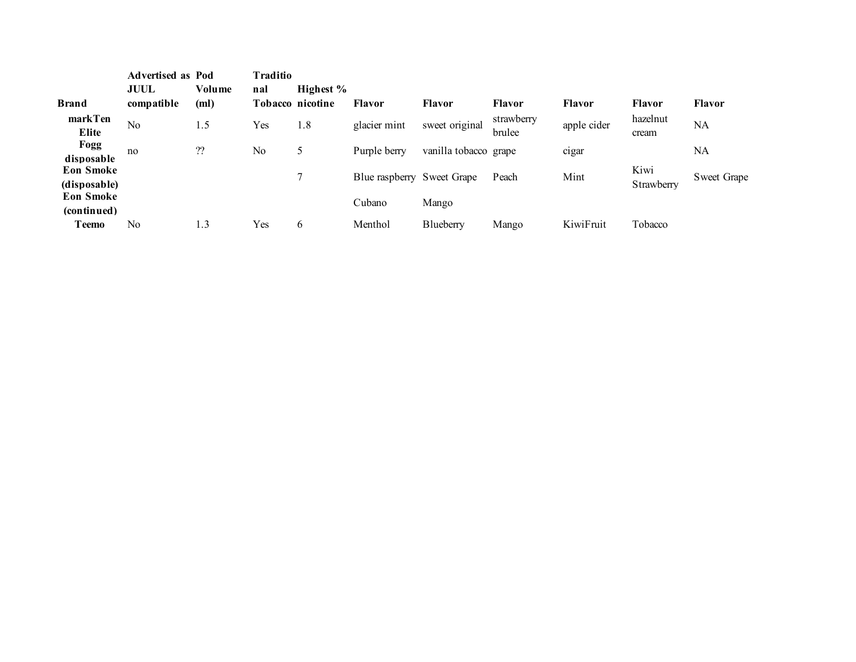|                  | <b>Advertised as Pod</b> |        | Traditio |                  |                            |                       |               |               |               |               |
|------------------|--------------------------|--------|----------|------------------|----------------------------|-----------------------|---------------|---------------|---------------|---------------|
|                  | JUUL                     | Volume | nal      | Highest %        |                            |                       |               |               |               |               |
| <b>Brand</b>     | compatible               | (ml)   |          | Tobacco nicotine | <b>Flavor</b>              | <b>Flavor</b>         | <b>Flavor</b> | <b>Flavor</b> | <b>Flavor</b> | <b>Flavor</b> |
| markTen          | N <sub>0</sub>           | 1.5    | Yes      | 1.8              | glacier mint               | sweet original        | strawberry    | apple cider   | hazelnut      | NA            |
| Elite<br>Fogg    |                          |        |          |                  |                            |                       | brulee        |               | cream         |               |
| disposable       | no                       | ??     | No       | 5                | Purple berry               | vanilla tobacco grape |               | cigar         |               | NA            |
| <b>Eon Smoke</b> |                          |        |          |                  | Blue raspberry Sweet Grape |                       | Peach         | Mint          | Kiwi          | Sweet Grape   |
| (disposable)     |                          |        |          |                  |                            |                       |               |               | Strawberry    |               |
| <b>Eon Smoke</b> |                          |        |          |                  | Cubano                     | Mango                 |               |               |               |               |
| (continued)      |                          |        |          |                  |                            |                       |               |               |               |               |
| <b>Teemo</b>     | N <sub>0</sub>           | 1.3    | Yes      | 6                | Menthol                    | Blueberry             | Mango         | KiwiFruit     | Tobacco       |               |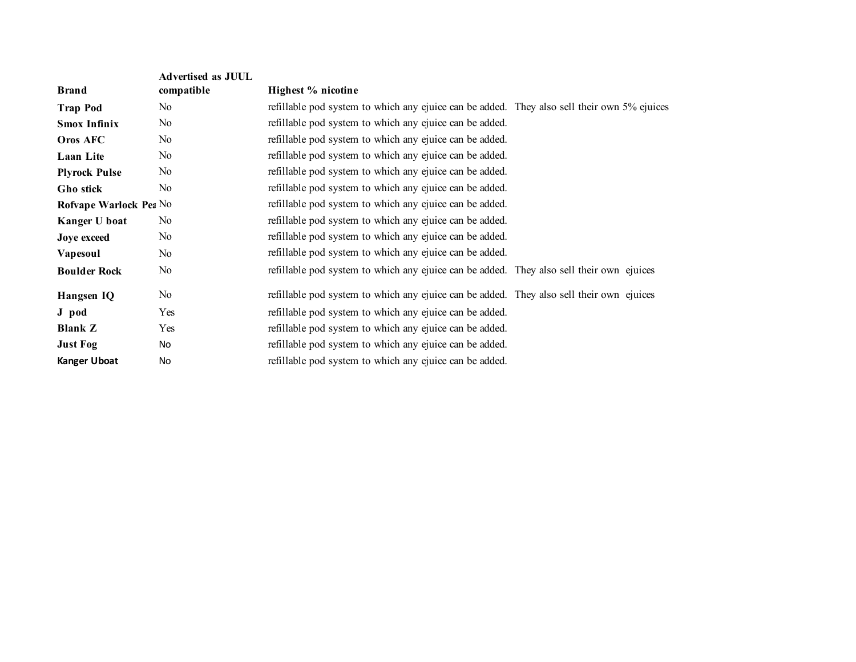|                        | <b>Advertised as JUUL</b> |                                                                                             |  |
|------------------------|---------------------------|---------------------------------------------------------------------------------------------|--|
| <b>Brand</b>           | compatible                | Highest % nicotine                                                                          |  |
| <b>Trap Pod</b>        | N <sub>0</sub>            | refillable pod system to which any ejuice can be added. They also sell their own 5% ejuices |  |
| <b>Smox Infinix</b>    | No                        | refillable pod system to which any ejuice can be added.                                     |  |
| Oros AFC               | No.                       | refillable pod system to which any ejuice can be added.                                     |  |
| Laan Lite              | No.                       | refillable pod system to which any ejuice can be added.                                     |  |
| <b>Plyrock Pulse</b>   | No                        | refillable pod system to which any ejuice can be added.                                     |  |
| <b>Gho stick</b>       | No                        | refillable pod system to which any ejuice can be added.                                     |  |
| Rofvape Warlock Pez No |                           | refillable pod system to which any ejuice can be added.                                     |  |
| Kanger U boat          | N <sub>0</sub>            | refillable pod system to which any ejuice can be added.                                     |  |
| <b>Joye exceed</b>     | No                        | refillable pod system to which any ejuice can be added.                                     |  |
| <b>Vapesoul</b>        | No                        | refillable pod system to which any ejuice can be added.                                     |  |
| <b>Boulder Rock</b>    | No                        | refillable pod system to which any ejuice can be added. They also sell their own ejuices    |  |
| Hangsen IQ             | No.                       | refillable pod system to which any ejuice can be added. They also sell their own ejuices    |  |
| J pod                  | Yes                       | refillable pod system to which any ejuice can be added.                                     |  |
| <b>Blank Z</b>         | Yes                       | refillable pod system to which any ejuice can be added.                                     |  |
| <b>Just Fog</b>        | No.                       | refillable pod system to which any ejuice can be added.                                     |  |
| <b>Kanger Uboat</b>    | No                        | refillable pod system to which any ejuice can be added.                                     |  |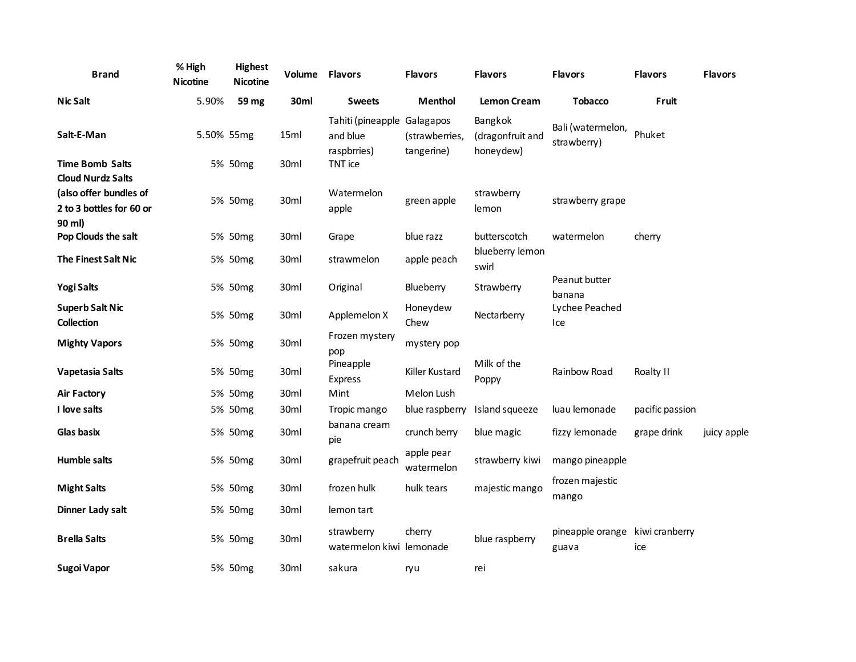| <b>Brand</b>                                       | % High<br><b>Nicotine</b> | <b>Highest</b><br><b>Nicotine</b> | Volume Flavors |                                                        | <b>Flavors</b>               | <b>Flavors</b>                           | <b>Flavors</b>                   | <b>Flavors</b>        | <b>Flavors</b> |
|----------------------------------------------------|---------------------------|-----------------------------------|----------------|--------------------------------------------------------|------------------------------|------------------------------------------|----------------------------------|-----------------------|----------------|
| <b>Nic Salt</b>                                    | 5.90%                     | 59 mg                             | 30ml           | <b>Sweets</b>                                          | <b>Menthol</b>               | <b>Lemon Cream</b>                       | <b>Tobacco</b>                   | Fruit                 |                |
| Salt-E-Man                                         | 5.50% 55mg                |                                   | 15ml           | Tahiti (pineapple Galagapos<br>and blue<br>raspbrries) | (strawberries,<br>tangerine) | Bangkok<br>(dragonfruit and<br>honeydew) | Bali (watermelon,<br>strawberry) | Phuket                |                |
| <b>Time Bomb Salts</b><br><b>Cloud Nurdz Salts</b> |                           | 5% 50mg                           | 30ml           | TNT ice                                                |                              |                                          |                                  |                       |                |
| (also offer bundles of<br>2 to 3 bottles for 60 or |                           | 5% 50mg                           | 30ml           | Watermelon<br>apple                                    | green apple                  | strawberry<br>lemon                      | strawberry grape                 |                       |                |
| 90 ml)<br>Pop Clouds the salt                      |                           | 5% 50mg                           | 30ml           | Grape                                                  | blue razz                    | butterscotch                             | watermelon                       | cherry                |                |
| <b>The Finest Salt Nic</b>                         |                           | 5% 50mg                           | 30ml           | strawmelon                                             | apple peach                  | blueberry lemon<br>swirl                 |                                  |                       |                |
| <b>Yogi Salts</b>                                  |                           | 5% 50mg                           | 30ml           | Original                                               | Blueberry                    | Strawberry                               | Peanut butter<br>banana          |                       |                |
| <b>Superb Salt Nic</b><br>Collection               |                           | 5% 50mg                           | 30ml           | Applemelon X                                           | Honeydew<br>Chew             | Nectarberry                              | Lychee Peached<br>Ice            |                       |                |
| <b>Mighty Vapors</b>                               |                           | 5% 50mg                           | 30ml           | Frozen mystery<br>pop                                  | mystery pop                  |                                          |                                  |                       |                |
| Vapetasia Salts                                    |                           | 5% 50mg                           | 30ml           | Pineapple<br>Express                                   | Killer Kustard               | Milk of the<br>Poppy                     | Rainbow Road                     | Roalty II             |                |
| <b>Air Factory</b>                                 |                           | 5% 50mg                           | 30ml           | Mint                                                   | Melon Lush                   |                                          |                                  |                       |                |
| I love salts                                       |                           | 5% 50mg                           | 30ml           | Tropic mango                                           | blue raspberry               | Island squeeze                           | luau lemonade                    | pacific passion       |                |
| <b>Glas basix</b>                                  |                           | 5% 50mg                           | 30ml           | banana cream<br>pie                                    | crunch berry                 | blue magic                               | fizzy lemonade                   | grape drink           | juicy apple    |
| Humble salts                                       |                           | 5% 50mg                           | 30ml           | grapefruit peach                                       | apple pear<br>watermelon     | strawberry kiwi                          | mango pineapple                  |                       |                |
| <b>Might Salts</b>                                 |                           | 5% 50mg                           | 30ml           | frozen hulk                                            | hulk tears                   | majestic mango                           | frozen majestic<br>mango         |                       |                |
| Dinner Lady salt                                   |                           | 5% 50mg                           | 30ml           | lemon tart                                             |                              |                                          |                                  |                       |                |
| <b>Brella Salts</b>                                |                           | 5% 50mg                           | 30ml           | strawberry<br>watermelon kiwi lemonade                 | cherry                       | blue raspberry                           | pineapple orange<br>guava        | kiwi cranberry<br>ice |                |
| Sugoi Vapor                                        |                           | 5% 50mg                           | 30ml           | sakura                                                 | ryu                          | rei                                      |                                  |                       |                |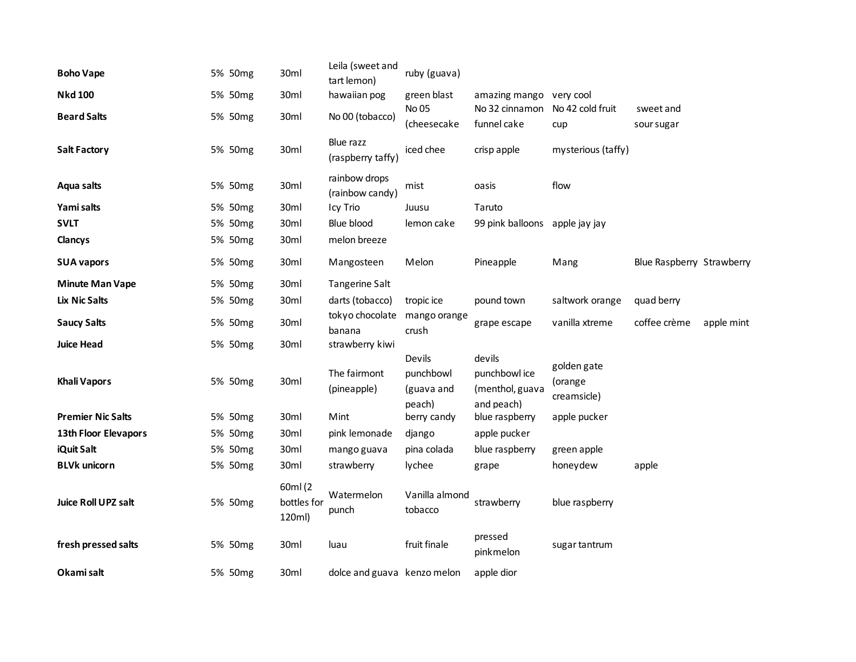| <b>Boho Vape</b>         | 5% 50mg | 30ml                             | Leila (sweet and<br>tart lemon)  | ruby (guava)                                |                                                          |                                       |                           |            |
|--------------------------|---------|----------------------------------|----------------------------------|---------------------------------------------|----------------------------------------------------------|---------------------------------------|---------------------------|------------|
| <b>Nkd 100</b>           | 5% 50mg | 30ml                             | hawaiian pog                     | green blast                                 | amazing mango very cool                                  |                                       |                           |            |
| <b>Beard Salts</b>       | 5% 50mg | 30ml                             | No 00 (tobacco)                  | No 05<br>(cheesecake                        | No 32 cinnamon<br>funnel cake                            | No 42 cold fruit<br>cup               | sweet and<br>sour sugar   |            |
| <b>Salt Factory</b>      | 5% 50mg | 30ml                             | Blue razz<br>(raspberry taffy)   | iced chee                                   | crisp apple                                              | mysterious (taffy)                    |                           |            |
| Aqua salts               | 5% 50mg | 30ml                             | rainbow drops<br>(rainbow candy) | mist                                        | oasis                                                    | flow                                  |                           |            |
| Yami salts               | 5% 50mg | 30ml                             | Icy Trio                         | Juusu                                       | Taruto                                                   |                                       |                           |            |
| <b>SVLT</b>              | 5% 50mg | 30ml                             | Blue blood                       | lemon cake                                  | 99 pink balloons apple jay jay                           |                                       |                           |            |
| Clancys                  | 5% 50mg | 30ml                             | melon breeze                     |                                             |                                                          |                                       |                           |            |
| <b>SUA vapors</b>        | 5% 50mg | 30ml                             | Mangosteen                       | Melon                                       | Pineapple                                                | Mang                                  | Blue Raspberry Strawberry |            |
| <b>Minute Man Vape</b>   | 5% 50mg | 30ml                             | Tangerine Salt                   |                                             |                                                          |                                       |                           |            |
| Lix Nic Salts            | 5% 50mg | 30ml                             | darts (tobacco)                  | tropic ice                                  | pound town                                               | saltwork orange                       | quad berry                |            |
| <b>Saucy Salts</b>       | 5% 50mg | 30ml                             | tokyo chocolate<br>banana        | mango orange<br>crush                       | grape escape                                             | vanilla xtreme                        | coffee crème              | apple mint |
| <b>Juice Head</b>        | 5% 50mg | 30ml                             | strawberry kiwi                  |                                             |                                                          |                                       |                           |            |
| <b>Khali Vapors</b>      | 5% 50mg | 30ml                             | The fairmont<br>(pineapple)      | Devils<br>punchbowl<br>(guava and<br>peach) | devils<br>punchbowl ice<br>(menthol, guava<br>and peach) | golden gate<br>(orange<br>creamsicle) |                           |            |
| <b>Premier Nic Salts</b> | 5% 50mg | 30ml                             | Mint                             | berry candy                                 | blue raspberry                                           | apple pucker                          |                           |            |
| 13th Floor Elevapors     | 5% 50mg | 30ml                             | pink lemonade                    | django                                      | apple pucker                                             |                                       |                           |            |
| iQuit Salt               | 5% 50mg | 30ml                             | mango guava                      | pina colada                                 | blue raspberry                                           | green apple                           |                           |            |
| <b>BLVk unicorn</b>      | 5% 50mg | 30ml                             | strawberry                       | lychee                                      | grape                                                    | honeydew                              | apple                     |            |
| Juice Roll UPZ salt      | 5% 50mg | 60ml (2<br>bottles for<br>120ml) | Watermelon<br>punch              | Vanilla almond<br>tobacco                   | strawberry                                               | blue raspberry                        |                           |            |
| fresh pressed salts      | 5% 50mg | 30ml                             | luau                             | fruit finale                                | pressed<br>pinkmelon                                     | sugar tantrum                         |                           |            |
| Okami salt               | 5% 50mg | 30ml                             | dolce and guava kenzo melon      |                                             | apple dior                                               |                                       |                           |            |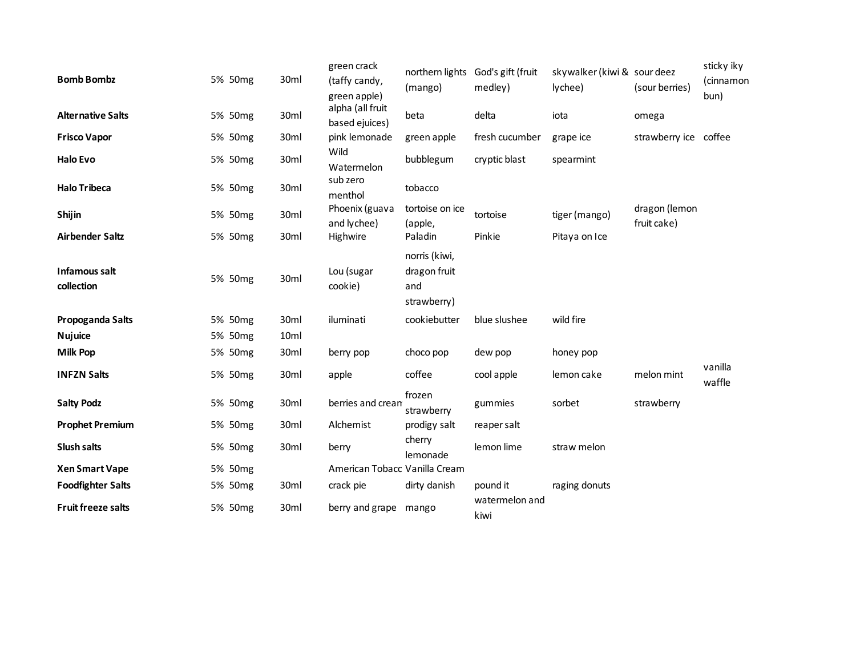| <b>Bomb Bombz</b>           | 5% 50mg | 30ml | green crack<br>(taffy candy,<br>green apple) | northern lights<br>(mango)                          | God's gift (fruit<br>medley) | skywalker (kiwi & sour deez<br>lychee) | (sour berries)               | sticky iky<br>(cinnamon<br>bun) |
|-----------------------------|---------|------|----------------------------------------------|-----------------------------------------------------|------------------------------|----------------------------------------|------------------------------|---------------------------------|
| <b>Alternative Salts</b>    | 5% 50mg | 30ml | alpha (all fruit<br>based ejuices)           | beta                                                | delta                        | iota                                   | omega                        |                                 |
| <b>Frisco Vapor</b>         | 5% 50mg | 30ml | pink lemonade                                | green apple                                         | fresh cucumber               | grape ice                              | strawberry ice coffee        |                                 |
| <b>Halo Evo</b>             | 5% 50mg | 30ml | Wild<br>Watermelon                           | bubblegum                                           | cryptic blast                | spearmint                              |                              |                                 |
| <b>Halo Tribeca</b>         | 5% 50mg | 30ml | sub zero<br>menthol                          | tobacco                                             |                              |                                        |                              |                                 |
| Shijin                      | 5% 50mg | 30ml | Phoenix (guava<br>and lychee)                | tortoise on ice<br>(apple,                          | tortoise                     | tiger (mango)                          | dragon (lemon<br>fruit cake) |                                 |
| <b>Airbender Saltz</b>      | 5% 50mg | 30ml | Highwire                                     | Paladin                                             | Pinkie                       | Pitaya on Ice                          |                              |                                 |
| Infamous salt<br>collection | 5% 50mg | 30ml | Lou (sugar<br>cookie)                        | norris (kiwi,<br>dragon fruit<br>and<br>strawberry) |                              |                                        |                              |                                 |
| Propoganda Salts            | 5% 50mg | 30ml | iluminati                                    | cookiebutter                                        | blue slushee                 | wild fire                              |                              |                                 |
| Nujuice                     | 5% 50mg | 10ml |                                              |                                                     |                              |                                        |                              |                                 |
| <b>Milk Pop</b>             | 5% 50mg | 30ml | berry pop                                    | choco pop                                           | dew pop                      | honey pop                              |                              |                                 |
| <b>INFZN Salts</b>          | 5% 50mg | 30ml | apple                                        | coffee                                              | cool apple                   | lemon cake                             | melon mint                   | vanilla<br>waffle               |
| <b>Salty Podz</b>           | 5% 50mg | 30ml | berries and crean                            | frozen<br>strawberry                                | gummies                      | sorbet                                 | strawberry                   |                                 |
| <b>Prophet Premium</b>      | 5% 50mg | 30ml | Alchemist                                    | prodigy salt                                        | reaper salt                  |                                        |                              |                                 |
| <b>Slush salts</b>          | 5% 50mg | 30ml | berry                                        | cherry<br>lemonade                                  | lemon lime                   | straw melon                            |                              |                                 |
| <b>Xen Smart Vape</b>       | 5% 50mg |      | American Tobacc Vanilla Cream                |                                                     |                              |                                        |                              |                                 |
| <b>Foodfighter Salts</b>    | 5% 50mg | 30ml | crack pie                                    | dirty danish                                        | pound it                     | raging donuts                          |                              |                                 |
| <b>Fruit freeze salts</b>   | 5% 50mg | 30ml | berry and grape mango                        |                                                     | watermelon and<br>kiwi       |                                        |                              |                                 |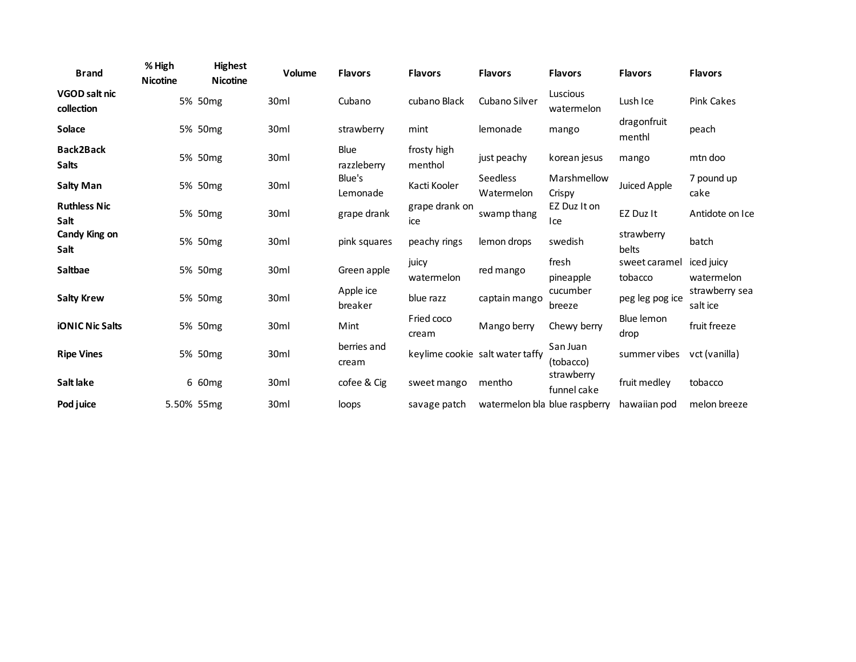| <b>Brand</b>                       | % High<br><b>Nicotine</b> | <b>Highest</b><br><b>Nicotine</b> | Volume           | <b>Flavors</b>       | <b>Flavors</b>         | <b>Flavors</b>                  | <b>Flavors</b>            | <b>Flavors</b>           | <b>Flavors</b>             |
|------------------------------------|---------------------------|-----------------------------------|------------------|----------------------|------------------------|---------------------------------|---------------------------|--------------------------|----------------------------|
| <b>VGOD salt nic</b><br>collection |                           | 5% 50mg                           | 30 <sub>ml</sub> | Cubano               | cubano Black           | Cubano Silver                   | Luscious<br>watermelon    | Lush Ice                 | Pink Cakes                 |
| <b>Solace</b>                      |                           | 5% 50mg                           | 30 <sub>ml</sub> | strawberry           | mint                   | lemonade                        | mango                     | dragonfruit<br>menthl    | peach                      |
| <b>Back2Back</b><br><b>Salts</b>   |                           | 5% 50mg                           | 30ml             | Blue<br>razzleberry  | frosty high<br>menthol | just peachy                     | korean jesus              | mango                    | mtn doo                    |
| <b>Salty Man</b>                   |                           | 5% 50mg                           | 30ml             | Blue's<br>Lemonade   | Kacti Kooler           | <b>Seedless</b><br>Watermelon   | Marshmellow<br>Crispy     | Juiced Apple             | 7 pound up<br>cake         |
| <b>Ruthless Nic</b><br>Salt        |                           | 5% 50mg                           | 30ml             | grape drank          | grape drank on<br>ice  | swamp thang                     | EZ Duz It on<br>Ice       | EZ Duz It                | Antidote on Ice            |
| Candy King on<br>Salt              |                           | 5% 50mg                           | 30ml             | pink squares         | peachy rings           | lemon drops                     | swedish                   | strawberry<br>belts      | batch                      |
| <b>Saltbae</b>                     |                           | 5% 50mg                           | 30ml             | Green apple          | juicy<br>watermelon    | red mango                       | fresh<br>pineapple        | sweet caramel<br>tobacco | iced juicy<br>watermelon   |
| <b>Salty Krew</b>                  |                           | 5% 50mg                           | 30ml             | Apple ice<br>breaker | blue razz              | captain mango                   | cucumber<br>breeze        | peg leg pog ice          | strawberry sea<br>salt ice |
| <b>iONIC Nic Salts</b>             |                           | 5% 50mg                           | 30ml             | Mint                 | Fried coco<br>cream    | Mango berry                     | Chewy berry               | Blue lemon<br>drop       | fruit freeze               |
| <b>Ripe Vines</b>                  |                           | 5% 50mg                           | 30ml             | berries and<br>cream |                        | keylime cookie salt water taffy | San Juan<br>(tobacco)     | summer vibes             | vct (vanilla)              |
| Salt lake                          |                           | 6 60mg                            | 30ml             | cofee & Cig          | sweet mango            | mentho                          | strawberry<br>funnel cake | fruit medley             | tobacco                    |
| Pod juice                          |                           | 5.50% 55mg                        | 30ml             | loops                | savage patch           | watermelon bla blue raspberry   |                           | hawaiian pod             | melon breeze               |